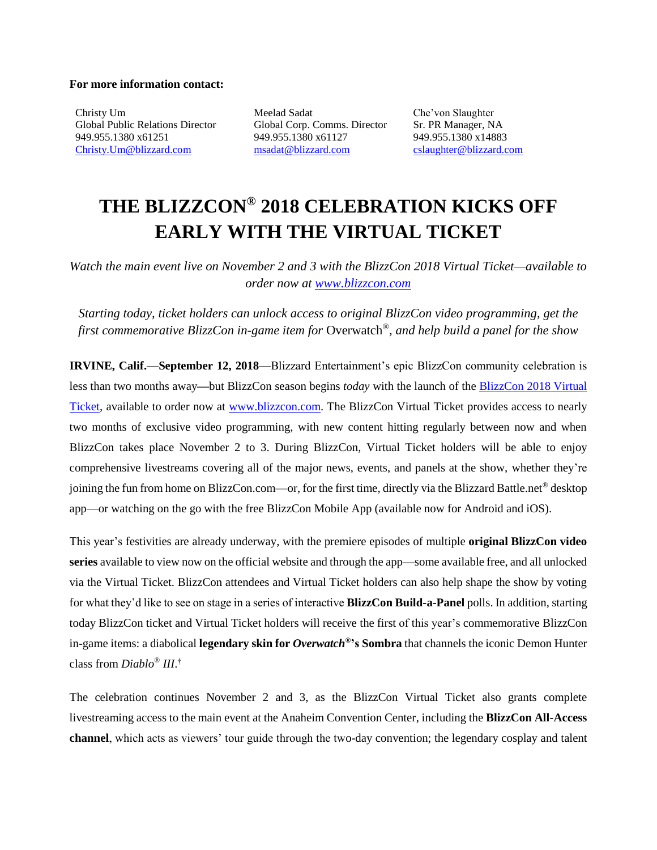## **For more information contact:**

Christy Um Global Public Relations Director 949.955.1380 x61251 [Christy.Um@blizzard.com](mailto:Christy.Um@blizzard.com)

Meelad Sadat Global Corp. Comms. Director 949.955.1380 x61127 [msadat@blizzard.com](mailto:msadat@blizzard.com)

Che'von Slaughter Sr. PR Manager, NA 949.955.1380 x14883 [cslaughter@blizzard.com](mailto:cslaughter@blizzard.com)

## **THE BLIZZCON® 2018 CELEBRATION KICKS OFF EARLY WITH THE VIRTUAL TICKET**

*Watch the main event live on November 2 and 3 with the BlizzCon 2018 Virtual Ticket—available to order now at [www.blizzcon.com](http://www.blizzcon.com/)*

*Starting today, ticket holders can unlock access to original BlizzCon video programming, get the first commemorative BlizzCon in-game item for* Overwatch*®, and help build a panel for the show*

**IRVINE, Calif.—September 12, 2018—**Blizzard Entertainment's epic BlizzCon community celebration is less than two months away**—**but BlizzCon season begins *today* with the launch of the [BlizzCon 2018 Virtual](https://shop.battle.net/product/blizzcon-virtual-ticket)  [Ticket,](https://shop.battle.net/product/blizzcon-virtual-ticket) available to order now at [www.blizzcon.com.](http://www.blizzcon.com/) The BlizzCon Virtual Ticket provides access to nearly two months of exclusive video programming, with new content hitting regularly between now and when BlizzCon takes place November 2 to 3. During BlizzCon, Virtual Ticket holders will be able to enjoy comprehensive livestreams covering all of the major news, events, and panels at the show, whether they're joining the fun from home on BlizzCon.com—or, for the first time, directly via the Blizzard Battle.net® desktop app—or watching on the go with the free BlizzCon Mobile App (available now for Android and iOS).

This year's festivities are already underway, with the premiere episodes of multiple **original BlizzCon video series** available to view now on the official website and through the app—some available free, and all unlocked via the Virtual Ticket. BlizzCon attendees and Virtual Ticket holders can also help shape the show by voting for what they'd like to see on stage in a series of interactive **BlizzCon Build-a-Panel** polls. In addition, starting today BlizzCon ticket and Virtual Ticket holders will receive the first of this year's commemorative BlizzCon in-game items: a diabolical **legendary skin for** *Overwatch***® 's Sombra** that channels the iconic Demon Hunter class from *Diablo® III*. †

The celebration continues November 2 and 3, as the BlizzCon Virtual Ticket also grants complete livestreaming access to the main event at the Anaheim Convention Center, including the **BlizzCon All-Access channel**, which acts as viewers' tour guide through the two-day convention; the legendary cosplay and talent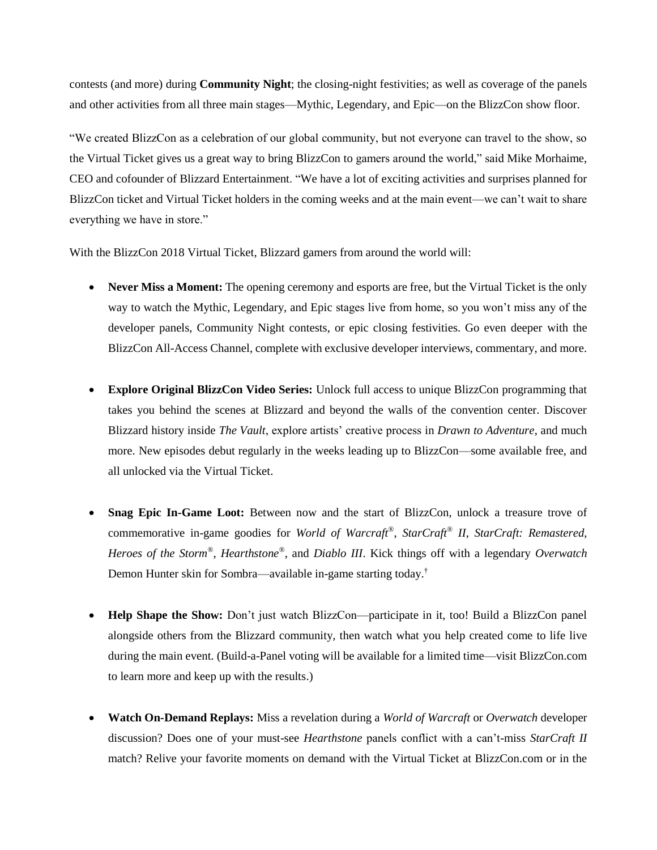contests (and more) during **Community Night**; the closing-night festivities; as well as coverage of the panels and other activities from all three main stages—Mythic, Legendary, and Epic—on the BlizzCon show floor.

"We created BlizzCon as a celebration of our global community, but not everyone can travel to the show, so the Virtual Ticket gives us a great way to bring BlizzCon to gamers around the world," said Mike Morhaime, CEO and cofounder of Blizzard Entertainment. "We have a lot of exciting activities and surprises planned for BlizzCon ticket and Virtual Ticket holders in the coming weeks and at the main event—we can't wait to share everything we have in store."

With the BlizzCon 2018 Virtual Ticket, Blizzard gamers from around the world will:

- **Never Miss a Moment:** The opening ceremony and esports are free, but the Virtual Ticket is the only way to watch the Mythic, Legendary, and Epic stages live from home, so you won't miss any of the developer panels, Community Night contests, or epic closing festivities. Go even deeper with the BlizzCon All-Access Channel, complete with exclusive developer interviews, commentary, and more.
- **Explore Original BlizzCon Video Series:** Unlock full access to unique BlizzCon programming that takes you behind the scenes at Blizzard and beyond the walls of the convention center. Discover Blizzard history inside *The Vault*, explore artists' creative process in *Drawn to Adventure*, and much more. New episodes debut regularly in the weeks leading up to BlizzCon—some available free, and all unlocked via the Virtual Ticket.
- **Snag Epic In-Game Loot:** Between now and the start of BlizzCon, unlock a treasure trove of commemorative in-game goodies for *World of Warcraft®* , *StarCraft® II*, *StarCraft: Remastered, Heroes of the Storm®* , *Hearthstone®* , and *Diablo III*. Kick things off with a legendary *Overwatch* Demon Hunter skin for Sombra—available in-game starting today.†
- **Help Shape the Show:** Don't just watch BlizzCon—participate in it, too! Build a BlizzCon panel alongside others from the Blizzard community, then watch what you help created come to life live during the main event. (Build-a-Panel voting will be available for a limited time—visit BlizzCon.com to learn more and keep up with the results.)
- **Watch On-Demand Replays:** Miss a revelation during a *World of Warcraft* or *Overwatch* developer discussion? Does one of your must-see *Hearthstone* panels conflict with a can't-miss *StarCraft II* match? Relive your favorite moments on demand with the Virtual Ticket at BlizzCon.com or in the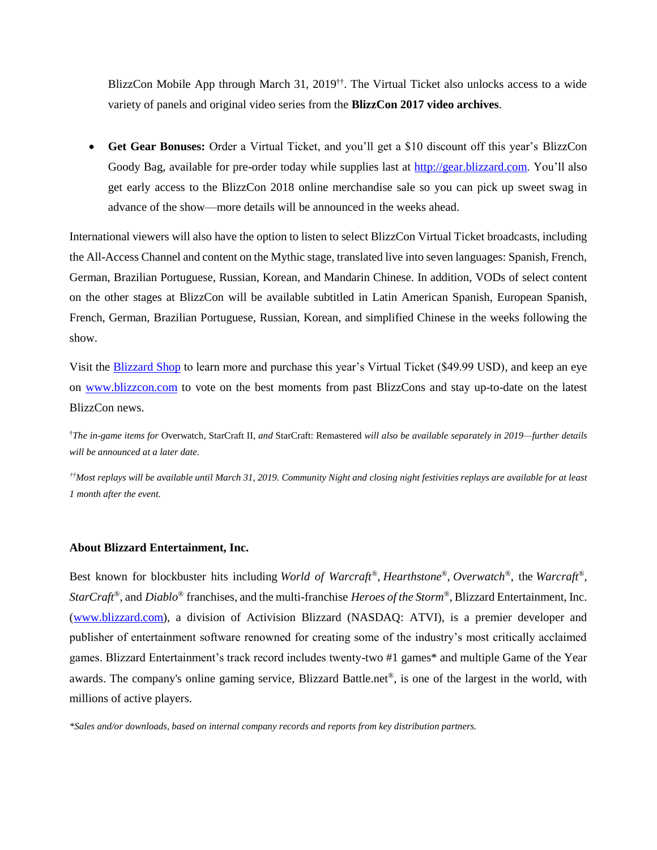BlizzCon Mobile App through March 31, 2019<sup>††</sup>. The Virtual Ticket also unlocks access to a wide variety of panels and original video series from the **BlizzCon 2017 video archives**.

• **Get Gear Bonuses:** Order a Virtual Ticket, and you'll get a \$10 discount off this year's BlizzCon Goody Bag, available for pre-order today while supplies last at [http://gear.blizzard.com.](http://gear.blizzard.com/) You'll also get early access to the BlizzCon 2018 online merchandise sale so you can pick up sweet swag in advance of the show—more details will be announced in the weeks ahead.

International viewers will also have the option to listen to select BlizzCon Virtual Ticket broadcasts, including the All-Access Channel and content on the Mythic stage, translated live into seven languages: Spanish, French, German, Brazilian Portuguese, Russian, Korean, and Mandarin Chinese. In addition, VODs of select content on the other stages at BlizzCon will be available subtitled in Latin American Spanish, European Spanish, French, German, Brazilian Portuguese, Russian, Korean, and simplified Chinese in the weeks following the show.

Visit the [Blizzard Shop](https://shop.battle.net/product/blizzcon-virtual-ticket) to learn more and purchase this year's Virtual Ticket (\$49.99 USD), and keep an eye on [www.blizzcon.com](http://www.blizzcon.com/) to vote on the best moments from past BlizzCons and stay up-to-date on the latest BlizzCon news.

†*The in-game items for* Overwatch*,* StarCraft II, *and* StarCraft: Remastered *will also be available separately in 2019—further details will be announced at a later date.*

*††Most replays will be available until March 31, 2019. Community Night and closing night festivities replays are available for at least 1 month after the event.*

## **About Blizzard Entertainment, Inc.**

Best known for blockbuster hits including *World of Warcraft*®, *Hearthstone*®, *Overwatch*®, the *Warcraft*®, *StarCraft*®, and *Diablo*® franchises, and the multi-franchise *Heroes of the Storm*®, Blizzard Entertainment, Inc. [\(www.blizzard.com\)](http://www.blizzard.com/), a division of Activision Blizzard (NASDAQ: ATVI), is a premier developer and publisher of entertainment software renowned for creating some of the industry's most critically acclaimed games. Blizzard Entertainment's track record includes twenty-two #1 games\* and multiple Game of the Year awards. The company's online gaming service, Blizzard Battle.net®, is one of the largest in the world, with millions of active players.

*\*Sales and/or downloads, based on internal company records and reports from key distribution partners.*